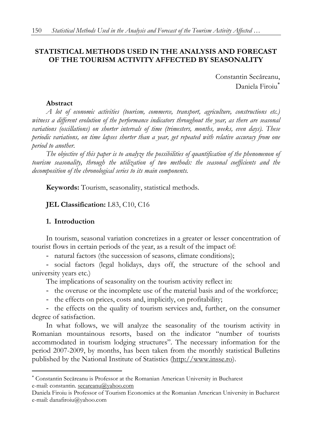# **STATISTICAL METHODS USED IN THE ANALYSIS AND FORECAST OF THE TOURISM ACTIVITY AFFECTED BY SEASONALITY**

Constantin Secăreanu, Daniela Firoiu

## **Abstract**

*A lot of economic activities (tourism, commerce, transport, agriculture, constructions etc.) witness a different evolution of the performance indicators throughout the year, as there are seasonal variations (oscillations) on shorter intervals of time (trimesters, months, weeks, even days). These periodic variations, on time lapses shorter than a year, get repeated with relative accuracy from one period to another.* 

*The objective of this paper is to analyze the possibilities of quantification of the phenomenon of tourism seasonality, through the utilization of two methods: the seasonal coefficients and the decomposition of the chronological series to its main components.* 

**Keywords:** Tourism, seasonality, statistical methods.

# **JEL Classification:** L83, C10, C16

# **1. Introduction**

 $\overline{a}$ 

In tourism, seasonal variation concretizes in a greater or lesser concentration of tourist flows in certain periods of the year, as a result of the impact of:

- natural factors (the succession of seasons, climate conditions);

- social factors (legal holidays, days off, the structure of the school and university years etc.)

The implications of seasonality on the tourism activity reflect in:

- the overuse or the incomplete use of the material basis and of the workforce;

- the effects on prices, costs and, implicitly, on profitability;

- the effects on the quality of tourism services and, further, on the consumer degree of satisfaction.

In what follows, we will analyze the seasonality of the tourism activity in Romanian mountainous resorts, based on the indicator "number of tourists accommodated in tourism lodging structures". The necessary information for the period 2007-2009, by months, has been taken from the monthly statistical Bulletins published by the National Institute of Statistics (http://www.insse.ro).

 Constantin Secăreanu is Professor at the Romanian American University in Bucharest e-mail: constantin. secareanu@yahoo.com

Daniela Firoiu is Professor of Tourism Economics at the Romanian American University in Bucharest e-mail: danafiroiu@yahoo.com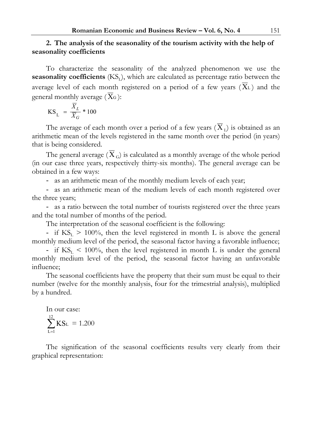## **2. The analysis of the seasonality of the tourism activity with the help of seasonality coefficients**

To characterize the seasonality of the analyzed phenomenon we use the **seasonality coefficients**  $(KS<sub>1</sub>)$ , which are calculated as percentage ratio between the average level of each month registered on a period of a few years  $(X_L)$  and the general monthly average  $(X_G)$ :

$$
KS_{L} = \frac{\overline{X}_{L}}{X_{G}} * 100
$$

The average of each month over a period of a few years ( $\overline{X}_1$ ) is obtained as an arithmetic mean of the levels registered in the same month over the period (in years) that is being considered.

The general average ( $X_G$ ) is calculated as a monthly average of the whole period (in our case three years, respectively thirty-six months). The general average can be obtained in a few ways:

- as an arithmetic mean of the monthly medium levels of each year;

- as an arithmetic mean of the medium levels of each month registered over the three years;

- as a ratio between the total number of tourists registered over the three years and the total number of months of the period.

The interpretation of the seasonal coefficient is the following:

- if  $KS_L > 100\%$ , then the level registered in month L is above the general monthly medium level of the period, the seasonal factor having a favorable influence;

- if  $KS_{I}$  < 100%, then the level registered in month L is under the general monthly medium level of the period, the seasonal factor having an unfavorable influence;

The seasonal coefficients have the property that their sum must be equal to their number (twelve for the monthly analysis, four for the trimestrial analysis), multiplied by a hundred.

In our case:  
\n
$$
\sum_{L=1}^{12} KS_L = 1.200
$$

The signification of the seasonal coefficients results very clearly from their graphical representation: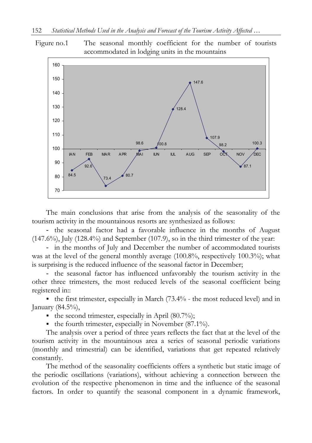



The main conclusions that arise from the analysis of the seasonality of the tourism activity in the mountainous resorts are synthesized as follows:

- the seasonal factor had a favorable influence in the months of August (147.6%), July (128.4%) and September (107.9), so in the third trimester of the year:

- in the months of July and December the number of accommodated tourists was at the level of the general monthly average (100.8%, respectively 100.3%); what is surprising is the reduced influence of the seasonal factor in December;

- the seasonal factor has influenced unfavorably the tourism activity in the other three trimesters, the most reduced levels of the seasonal coefficient being registered in::

the first trimester, especially in March  $(73.4\%$  - the most reduced level) and in January  $(84.5\%)$ ,

- the second trimester, especially in April  $(80.7\%)$ ;
- the fourth trimester, especially in November  $(87.1\%)$ .

The analysis over a period of three years reflects the fact that at the level of the tourism activity in the mountainous area a series of seasonal periodic variations (monthly and trimestrial) can be identified, variations that get repeated relatively constantly.

The method of the seasonality coefficients offers a synthetic but static image of the periodic oscillations (variations), without achieving a connection between the evolution of the respective phenomenon in time and the influence of the seasonal factors. In order to quantify the seasonal component in a dynamic framework,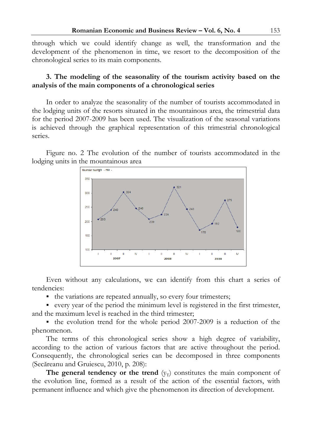through which we could identify change as well, the transformation and the development of the phenomenon in time, we resort to the decomposition of the chronological series to its main components.

## **3. The modeling of the seasonality of the tourism activity based on the analysis of the main components of a chronological series**

In order to analyze the seasonality of the number of tourists accommodated in the lodging units of the resorts situated in the mountainous area, the trimestrial data for the period 2007-2009 has been used. The visualization of the seasonal variations is achieved through the graphical representation of this trimestrial chronological series.

Figure no. 2 The evolution of the number of tourists accommodated in the lodging units in the mountainous area



Even without any calculations, we can identify from this chart a series of tendencies:

• the variations are repeated annually, so every four trimesters;

 every year of the period the minimum level is registered in the first trimester, and the maximum level is reached in the third trimester;

 $\bullet$  the evolution trend for the whole period 2007-2009 is a reduction of the phenomenon.

The terms of this chronological series show a high degree of variability, according to the action of various factors that are active throughout the period. Consequently, the chronological series can be decomposed in three components (Secăreanu and Gruiescu, 2010, p. 208):

**The general tendency or the trend**  $(y_T)$  constitutes the main component of the evolution line, formed as a result of the action of the essential factors, with permanent influence and which give the phenomenon its direction of development.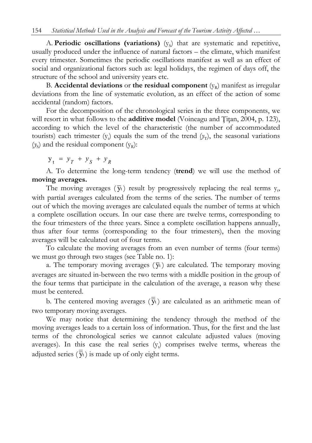A. **Periodic oscillations (variations)**  $(y<sub>s</sub>)$  that are systematic and repetitive, usually produced under the influence of natural factors – the climate, which manifest every trimester. Sometimes the periodic oscillations manifest as well as an effect of social and organizational factors such as: legal holidays, the regimen of days off, the structure of the school and university years etc.

B. **Accidental deviations** or the residual component  $(y_R)$  manifest as irregular deviations from the line of systematic evolution, as an effect of the action of some accidental (random) factors.

For the decomposition of the chronological series in the three components, we will resort in what follows to the **additive model** (Voineagu and Titan, 2004, p. 123), according to which the level of the characteristic (the number of accommodated tourists) each trimester  $(y_t)$  equals the sum of the trend  $(y_T)$ , the seasonal variations  $(y<sub>s</sub>)$  and the residual component  $(y<sub>R</sub>)$ :

 $y_{t} = y_{T} + y_{S} + y_{R}$ 

A. To determine the long-term tendency (**trend**) we will use the method of **moving averages.**

The moving averages  $(\bar{y}_t)$  result by progressively replacing the real terms  $y_t$ , with partial averages calculated from the terms of the series. The number of terms out of which the moving averages are calculated equals the number of terms at which a complete oscillation occurs. In our case there are twelve terms, corresponding to the four trimesters of the three years. Since a complete oscillation happens annually, thus after four terms (corresponding to the four trimesters), then the moving averages will be calculated out of four terms.

To calculate the moving averages from an even number of terms (four terms) we must go through two stages (see Table no. 1):

a. The temporary moving averages  $(\bar{y}_t)$  are calculated. The temporary moving averages are situated in-between the two terms with a middle position in the group of the four terms that participate in the calculation of the average, a reason why these must be centered.

b. The centered moving averages  $(\overline{\overline{y}}_t)$  are calculated as an arithmetic mean of two temporary moving averages.

We may notice that determining the tendency through the method of the moving averages leads to a certain loss of information. Thus, for the first and the last terms of the chronological series we cannot calculate adjusted values (moving averages). In this case the real series  $(y_t)$  comprises twelve terms, whereas the adjusted series  $(\bar{y}_t)$  is made up of only eight terms.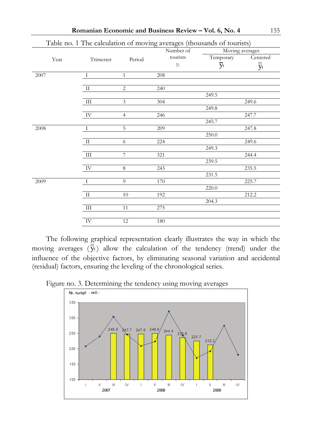| Trimester    | Period         |                           |                       | Moving averages                                                                              |  |
|--------------|----------------|---------------------------|-----------------------|----------------------------------------------------------------------------------------------|--|
|              |                |                           |                       | Centered                                                                                     |  |
|              |                | Уt                        | $\overline{y}_t$      | $\overline{\overline{y}}_t$                                                                  |  |
| I            | $\mathbf{1}$   | 208                       |                       |                                                                                              |  |
| П            | $\overline{2}$ | 240                       |                       |                                                                                              |  |
|              |                |                           | 249.5                 |                                                                                              |  |
| $\rm III$    | $\overline{3}$ | 304                       |                       | 249.6                                                                                        |  |
|              |                |                           | 249.8                 |                                                                                              |  |
| IV           | $\overline{4}$ | 246                       |                       | 247.7                                                                                        |  |
|              |                |                           | 245.7                 |                                                                                              |  |
| Ι            | 5              | 209                       |                       | 247.8                                                                                        |  |
|              |                |                           | 250.0                 |                                                                                              |  |
| П            | 6              | 224                       |                       | 249.6                                                                                        |  |
|              |                |                           | 249.3                 |                                                                                              |  |
| Ш            |                | 321                       |                       | 244.4                                                                                        |  |
|              |                |                           | 239.5                 |                                                                                              |  |
| IV           | $\,8\,$        | 243                       |                       | 235.5                                                                                        |  |
|              |                |                           |                       |                                                                                              |  |
| $\mathbf{I}$ | 9              | 170                       |                       | 225.7                                                                                        |  |
|              |                |                           | 220.0                 |                                                                                              |  |
|              | 10             | 192                       |                       | 212.2                                                                                        |  |
|              |                |                           | 204.3                 |                                                                                              |  |
| $\rm III$    |                | 275                       |                       |                                                                                              |  |
| IV           | 12             | 180                       |                       |                                                                                              |  |
|              | $\;$ II        | $7\phantom{.0}$<br>$11\,$ | Number of<br>tourists | Table no. 1 The calculation of moving averages (thousands of tourists)<br>Temporary<br>231.5 |  |

**Romanian Economic and Business Review – Vol. 6, No. 4** 155

The following graphical representation clearly illustrates the way in which the moving averages  $(\overline{\overline{y}}_t)$  allow the calculation of the tendency (trend) under the influence of the objective factors, by eliminating seasonal variation and accidental (residual) factors, ensuring the leveling of the chronological series.

Figure no. 3. Determining the tendency using moving averages

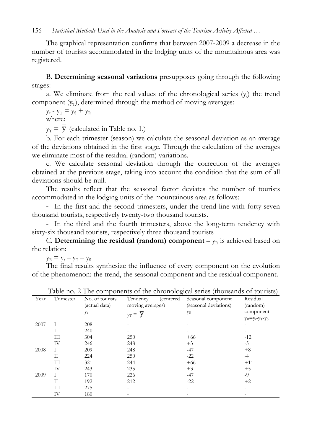The graphical representation confirms that between 2007-2009 a decrease in the number of tourists accommodated in the lodging units of the mountainous area was registered.

B. **Determining seasonal variations** presupposes going through the following stages:

a. We eliminate from the real values of the chronological series  $(y_t)$  the trend component  $(y_T)$ , determined through the method of moving averages:

 $y_t - y_T = y_S + y_R$ 

where:

 $y_T = \overline{y}$  (calculated in Table no. 1.)

b. For each trimester (season) we calculate the seasonal deviation as an average of the deviations obtained in the first stage. Through the calculation of the averages we eliminate most of the residual (random) variations.

c. We calculate seasonal deviation through the correction of the averages obtained at the previous stage, taking into account the condition that the sum of all deviations should be null.

The results reflect that the seasonal factor deviates the number of tourists accommodated in the lodging units of the mountainous area as follows:

- In the first and the second trimesters, under the trend line with forty-seven thousand tourists, respectively twenty-two thousand tourists.

- In the third and the fourth trimesters, above the long-term tendency with sixty-six thousand tourists, respectively three thousand tourists

C. **Determining the residual (random) component** –  $y_R$  is achieved based on the relation:

 $y_R = y_t - y_T - y_S$ 

The final results synthesize the influence of every component on the evolution of the phenomenon: the trend, the seasonal component and the residual component.

| Year | Trimester | No. of tourists<br>(actual data) | Tendency<br>moving averages) | (centered) | Seasonal component<br>(seasonal deviations) | Residual<br>(random)    |
|------|-----------|----------------------------------|------------------------------|------------|---------------------------------------------|-------------------------|
|      |           |                                  |                              |            |                                             |                         |
|      |           | Уt                               | V<br>$y_T =$                 |            | Уs                                          | component               |
|      |           |                                  |                              |            |                                             | $y_R = y_t - y_T - y_S$ |
| 2007 |           | 208                              |                              |            |                                             |                         |
|      | H         | 240                              |                              |            |                                             |                         |
|      | Ш         | 304                              | 250                          |            | $+66$                                       | $-12$                   |
|      | IV        | 246                              | 248                          |            | $+3$                                        | $-5$                    |
| 2008 | T         | 209                              | 248                          |            | $-47$                                       | $+8$                    |
|      | П         | 224                              | 250                          |            | $-22$                                       | $-4$                    |
|      | Ш         | 321                              | 244                          |            | $+66$                                       | $+11$                   |
|      | IV        | 243                              | 235                          |            | $+3$                                        | $+5$                    |
| 2009 | L         | 170                              | 226                          |            | $-47$                                       | $-9$                    |
|      | Н         | 192                              | 212                          |            | $-22$                                       | $+2$                    |
|      | Ш         | 275                              |                              |            |                                             |                         |
|      | IV        | 180                              |                              |            |                                             |                         |

| Table no. 2 The components of the chronological series (thousands of tourists) |  |  |
|--------------------------------------------------------------------------------|--|--|
|                                                                                |  |  |